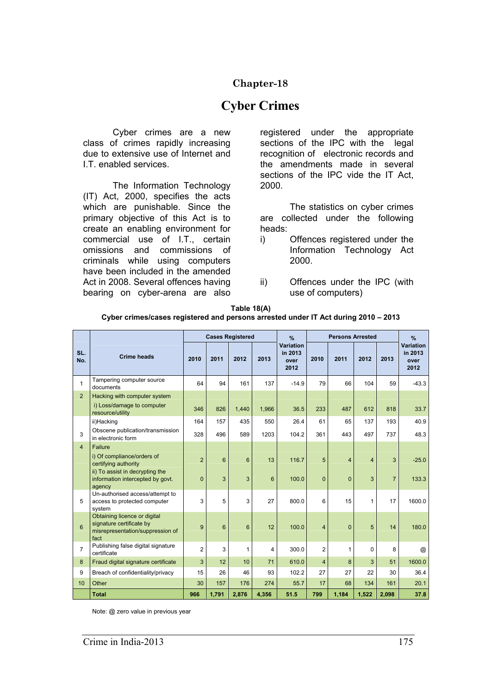## **Chapter-18**

# **Cyber Crimes**

Cyber crimes are a new class of crimes rapidly increasing due to extensive use of Internet and I.T. enabled services.

 The Information Technology (IT) Act, 2000, specifies the acts which are punishable. Since the primary objective of this Act is to create an enabling environment for commercial use of I.T., certain omissions and commissions of criminals while using computers have been included in the amended Act in 2008. Several offences having bearing on cyber-arena are also

registered under the appropriate sections of the IPC with the legal recognition of electronic records and the amendments made in several sections of the IPC vide the IT Act, 2000.

 The statistics on cyber crimes are collected under the following heads:

- i) Offences registered under the Information Technology Act 2000.
- ii) Offences under the IPC (with use of computers)

| Table 18(A)                                                                        |
|------------------------------------------------------------------------------------|
| Cyber crimes/cases registered and persons arrested under IT Act during 2010 – 2013 |

|                | <b>Crime heads</b>                                                                                   | <b>Cases Registered</b> |       |       |                | $\frac{9}{6}$                        | <b>Persons Arrested</b> |                |                |                | $\frac{9}{6}$                        |
|----------------|------------------------------------------------------------------------------------------------------|-------------------------|-------|-------|----------------|--------------------------------------|-------------------------|----------------|----------------|----------------|--------------------------------------|
| SL.<br>No.     |                                                                                                      | 2010                    | 2011  | 2012  | 2013           | Variation<br>in 2013<br>over<br>2012 | 2010                    | 2011           | 2012           | 2013           | Variation<br>in 2013<br>over<br>2012 |
| 1              | Tampering computer source<br>documents                                                               | 64                      | 94    | 161   | 137            | $-14.9$                              | 79                      | 66             | 104            | 59             | $-43.3$                              |
| $\overline{2}$ | Hacking with computer system                                                                         |                         |       |       |                |                                      |                         |                |                |                |                                      |
|                | i) Loss/damage to computer<br>resource/utility                                                       | 346                     | 826   | 1,440 | 1,966          | 36.5                                 | 233                     | 487            | 612            | 818            | 33.7                                 |
|                | ii)Hacking                                                                                           | 164                     | 157   | 435   | 550            | 26.4                                 | 61                      | 65             | 137            | 193            | 40.9                                 |
| 3              | Obscene publication/transmission<br>in electronic form                                               | 328                     | 496   | 589   | 1203           | 104.2                                | 361                     | 443            | 497            | 737            | 48.3                                 |
| $\overline{4}$ | Failure                                                                                              |                         |       |       |                |                                      |                         |                |                |                |                                      |
|                | i) Of compliance/orders of<br>certifying authority                                                   | $\overline{2}$          | 6     | 6     | 13             | 116.7                                | 5                       | $\overline{4}$ | $\overline{4}$ | 3              | $-25.0$                              |
|                | ii) To assist in decrypting the<br>information intercepted by govt.<br>agency                        | $\overline{0}$          | 3     | 3     | 6              | 100.0                                | $\mathbf 0$             | $\mathbf{0}$   | 3              | $\overline{7}$ | 133.3                                |
| 5              | Un-authorised access/attempt to<br>access to protected computer<br>system                            | 3                       | 5     | 3     | 27             | 800.0                                | 6                       | 15             | 1              | 17             | 1600.0                               |
| 6              | Obtaining licence or digital<br>signature certificate by<br>misrepresentation/suppression of<br>fact | 9                       | 6     | 6     | 12             | 100.0                                | $\overline{4}$          | $\mathbf{0}$   | 5              | 14             | 180.0                                |
| $\overline{7}$ | Publishing false digital signature<br>certificate                                                    | $\overline{2}$          | 3     | 1     | $\overline{4}$ | 300.0                                | $\overline{2}$          | 1              | 0              | 8              | $^{\circledR}$                       |
| 8              | Fraud digital signature certificate                                                                  | 3                       | 12    | 10    | 71             | 610.0                                | 4                       | 8              | 3              | 51             | 1600.0                               |
| 9              | Breach of confidentiality/privacy                                                                    | 15                      | 26    | 46    | 93             | 102.2                                | 27                      | 27             | 22             | 30             | 36.4                                 |
| 10             | Other                                                                                                | 30                      | 157   | 176   | 274            | 55.7                                 | 17                      | 68             | 134            | 161            | 20.1                                 |
|                | <b>Total</b>                                                                                         | 966                     | 1,791 | 2,876 | 4,356          | 51.5                                 | 799                     | 1,184          | 1,522          | 2,098          | 37.8                                 |

Note: @ zero value in previous year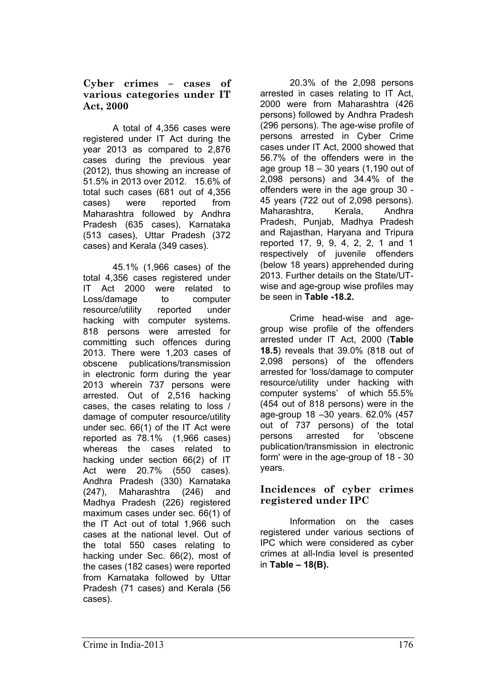#### **Cyber crimes – cases of various categories under IT Act, 2000**

 A total of 4,356 cases were registered under IT Act during the year 2013 as compared to 2,876 cases during the previous year (2012), thus showing an increase of 51.5% in 2013 over 2012. 15.6% of total such cases (681 out of 4,356 cases) were reported from Maharashtra followed by Andhra Pradesh (635 cases), Karnataka (513 cases), Uttar Pradesh (372 cases) and Kerala (349 cases).

 45.1% (1,966 cases) of the total 4,356 cases registered under IT Act 2000 were related to Loss/damage to computer resource/utility reported under hacking with computer systems. 818 persons were arrested for committing such offences during 2013. There were 1,203 cases of obscene publications/transmission in electronic form during the year 2013 wherein 737 persons were arrested. Out of 2,516 hacking cases, the cases relating to loss / damage of computer resource/utility under sec. 66(1) of the IT Act were reported as 78.1% (1,966 cases) whereas the cases related to hacking under section 66(2) of IT Act were 20.7% (550 cases). Andhra Pradesh (330) Karnataka (247), Maharashtra (246) and Madhya Pradesh (226) registered maximum cases under sec. 66(1) of the IT Act out of total 1,966 such cases at the national level. Out of the total 550 cases relating to hacking under Sec. 66(2), most of the cases (182 cases) were reported from Karnataka followed by Uttar Pradesh (71 cases) and Kerala (56 cases).

 20.3% of the 2,098 persons arrested in cases relating to IT Act, 2000 were from Maharashtra (426 persons) followed by Andhra Pradesh (296 persons). The age-wise profile of persons arrested in Cyber Crime cases under IT Act, 2000 showed that 56.7% of the offenders were in the age group 18 – 30 years (1,190 out of 2,098 persons) and 34.4% of the offenders were in the age group 30 - 45 years (722 out of 2,098 persons). Maharashtra, Kerala, Andhra Pradesh, Punjab, Madhya Pradesh and Rajasthan, Haryana and Tripura reported 17, 9, 9, 4, 2, 2, 1 and 1 respectively of juvenile offenders (below 18 years) apprehended during 2013. Further details on the State/UTwise and age-group wise profiles may be seen in **Table -18.2.** 

 Crime head-wise and agegroup wise profile of the offenders arrested under IT Act, 2000 (**Table 18.5**) reveals that 39.0% (818 out of 2,098 persons) of the offenders arrested for 'loss/damage to computer resource/utility under hacking with computer systems' of which 55.5% (454 out of 818 persons) were in the age-group 18 –30 years. 62.0% (457 out of 737 persons) of the total persons arrested for 'obscene publication/transmission in electronic form' were in the age-group of 18 - 30 years.

### **Incidences of cyber crimes registered under IPC**

Information on the cases registered under various sections of IPC which were considered as cyber crimes at all-India level is presented in **Table – 18(B).**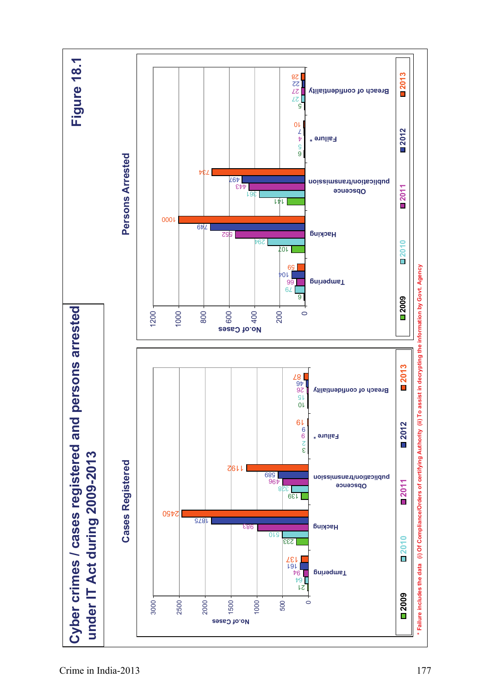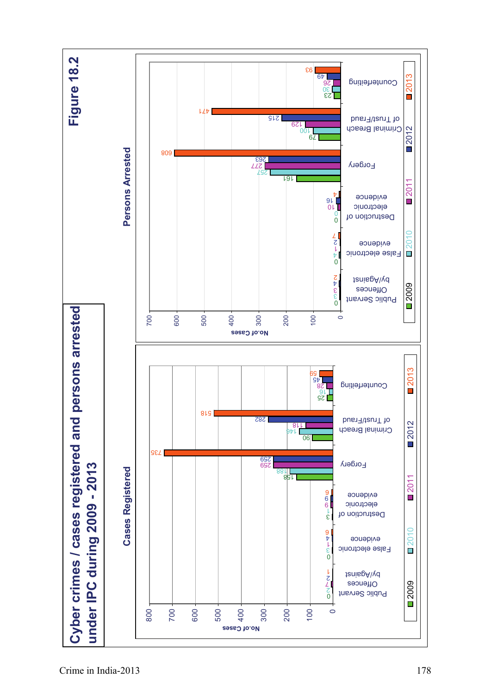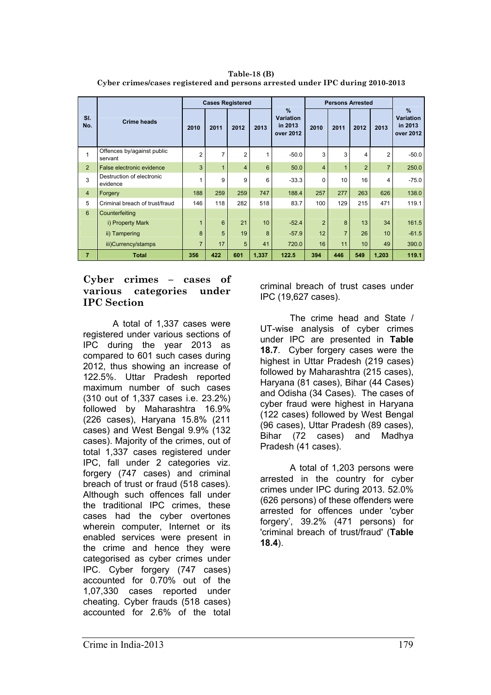**Table-18 (B) Cyber crimes/cases registered and persons arrested under IPC during 2010-2013** 

|                | <b>Crime heads</b>                    | <b>Cases Registered</b> |              |                |       |                                                           | <b>Persons Arrested</b> |                |                |                |                                               |
|----------------|---------------------------------------|-------------------------|--------------|----------------|-------|-----------------------------------------------------------|-------------------------|----------------|----------------|----------------|-----------------------------------------------|
| SI.<br>No.     |                                       | 2010                    | 2011         | 2012           | 2013  | $\frac{9}{6}$<br><b>Variation</b><br>in 2013<br>over 2012 | 2010                    | 2011           | 2012           | 2013           | %<br><b>Variation</b><br>in 2013<br>over 2012 |
| 1              | Offences by/against public<br>servant | $\overline{2}$          | 7            | $\overline{2}$ | 1     | $-50.0$                                                   | 3                       | 3              | 4              | 2              | $-50.0$                                       |
| 2              | False electronic evidence             | 3                       | $\mathbf{1}$ | $\overline{4}$ | 6     | 50.0                                                      | $\overline{4}$          | $\overline{1}$ | $\overline{2}$ | $\overline{7}$ | 250.0                                         |
| 3              | Destruction of electronic<br>evidence |                         | 9            | 9              | 6     | $-33.3$                                                   | 0                       | 10             | 16             | 4              | $-75.0$                                       |
| $\overline{4}$ | Forgery                               | 188                     | 259          | 259            | 747   | 188.4                                                     | 257                     | 277            | 263            | 626            | 138.0                                         |
| 5              | Criminal breach of trust/fraud        | 146                     | 118          | 282            | 518   | 83.7                                                      | 100                     | 129            | 215            | 471            | 119.1                                         |
| $6\phantom{1}$ | Counterfeiting                        |                         |              |                |       |                                                           |                         |                |                |                |                                               |
|                | i) Property Mark                      | 1                       | 6            | 21             | 10    | $-52.4$                                                   | $\overline{2}$          | 8              | 13             | 34             | 161.5                                         |
|                | ii) Tampering                         | 8                       | 5            | 19             | 8     | $-57.9$                                                   | 12                      | $\overline{7}$ | 26             | 10             | $-61.5$                                       |
|                | iii)Currency/stamps                   | $\overline{7}$          | 17           | 5              | 41    | 720.0                                                     | 16                      | 11             | 10             | 49             | 390.0                                         |
| $\overline{7}$ | <b>Total</b>                          | 356                     | 422          | 601            | 1,337 | 122.5                                                     | 394                     | 446            | 549            | 1,203          | 119.1                                         |

#### **Cyber crimes – cases of various categories under IPC Section**

A total of 1,337 cases were registered under various sections of IPC during the year 2013 as compared to 601 such cases during 2012, thus showing an increase of 122.5%. Uttar Pradesh reported maximum number of such cases (310 out of 1,337 cases i.e. 23.2%) followed by Maharashtra 16.9% (226 cases), Haryana 15.8% (211 cases) and West Bengal 9.9% (132 cases). Majority of the crimes, out of total 1,337 cases registered under IPC, fall under 2 categories viz. forgery (747 cases) and criminal breach of trust or fraud (518 cases). Although such offences fall under the traditional IPC crimes, these cases had the cyber overtones wherein computer, Internet or its enabled services were present in the crime and hence they were categorised as cyber crimes under IPC. Cyber forgery (747 cases) accounted for 0.70% out of the 1,07,330 cases reported under cheating. Cyber frauds (518 cases) accounted for 2.6% of the total

criminal breach of trust cases under IPC (19,627 cases).

 The crime head and State / UT-wise analysis of cyber crimes under IPC are presented in **Table 18.7**. Cyber forgery cases were the highest in Uttar Pradesh (219 cases) followed by Maharashtra (215 cases), Haryana (81 cases), Bihar (44 Cases) and Odisha (34 Cases). The cases of cyber fraud were highest in Haryana (122 cases) followed by West Bengal (96 cases), Uttar Pradesh (89 cases), Bihar (72 cases) and Madhya Pradesh (41 cases).

 A total of 1,203 persons were arrested in the country for cyber crimes under IPC during 2013. 52.0% (626 persons) of these offenders were arrested for offences under 'cyber forgery', 39.2% (471 persons) for 'criminal breach of trust/fraud' (**Table 18.4**).